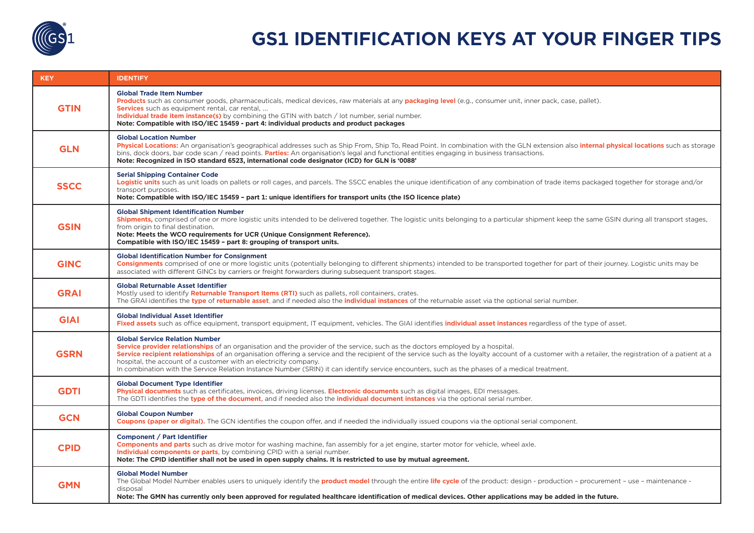

## **GS1 IDENTIFICATION KEYS AT YOUR FINGER TIPS**

| <b>KEY</b>  | <b>IDENTIFY</b>                                                                                                                                                                                                                                                                                                                                                                                                                                                                                                                                                                                       |  |
|-------------|-------------------------------------------------------------------------------------------------------------------------------------------------------------------------------------------------------------------------------------------------------------------------------------------------------------------------------------------------------------------------------------------------------------------------------------------------------------------------------------------------------------------------------------------------------------------------------------------------------|--|
| <b>GTIN</b> | <b>Global Trade Item Number</b><br>Products such as consumer goods, pharmaceuticals, medical devices, raw materials at any packaging level (e.g., consumer unit, inner pack, case, pallet).<br><b>Services</b> such as equipment rental, car rental,<br>Individual trade item instance(s) by combining the GTIN with batch / lot number, serial number.<br>Note: Compatible with ISO/IEC 15459 - part 4: individual products and product packages                                                                                                                                                     |  |
| <b>GLN</b>  | <b>Global Location Number</b><br>Physical Locations: An organisation's geographical addresses such as Ship From, Ship To, Read Point. In combination with the GLN extension also <i>internal physical locations</i> such as storage<br>bins, dock doors, bar code scan / read points. <b>Parties:</b> An organisation's legal and functional entities engaging in business transactions.<br>Note: Recognized in ISO standard 6523, international code designator (ICD) for GLN is '0088'                                                                                                              |  |
| <b>SSCC</b> | <b>Serial Shipping Container Code</b><br>Logistic units such as unit loads on pallets or roll cages, and parcels. The SSCC enables the unique identification of any combination of trade items packaged together for storage and/or<br>transport purposes.<br>Note: Compatible with ISO/IEC 15459 - part 1: unique identifiers for transport units (the ISO licence plate)                                                                                                                                                                                                                            |  |
| <b>GSIN</b> | <b>Global Shipment Identification Number</b><br>Shipments, comprised of one or more logistic units intended to be delivered together. The logistic units belonging to a particular shipment keep the same GSIN during all transport stages,<br>from origin to final destination.<br>Note: Meets the WCO requirements for UCR (Unique Consignment Reference).<br>Compatible with ISO/IEC 15459 - part 8: grouping of transport units.                                                                                                                                                                  |  |
| <b>GINC</b> | <b>Global Identification Number for Consignment</b><br>Consignments comprised of one or more logistic units (potentially belonging to different shipments) intended to be transported together for part of their journey. Logistic units may be<br>associated with different GINCs by carriers or freight forwarders during subsequent transport stages.                                                                                                                                                                                                                                              |  |
| <b>GRAI</b> | <b>Global Returnable Asset Identifier</b><br>Mostly used to identify <b>Returnable Transport Items (RTI)</b> such as pallets, roll containers, crates.<br>The GRAI identifies the type of returnable asset, and if needed also the individual instances of the returnable asset via the optional serial number.                                                                                                                                                                                                                                                                                       |  |
| <b>GIAI</b> | <b>Global Individual Asset Identifier</b><br>Fixed assets such as office equipment, transport equipment, IT equipment, vehicles. The GIAI identifies individual asset instances regardless of the type of asset.                                                                                                                                                                                                                                                                                                                                                                                      |  |
| <b>GSRN</b> | <b>Global Service Relation Number</b><br>Service provider relationships of an organisation and the provider of the service, such as the doctors employed by a hospital.<br>Service recipient relationships of an organisation offering a service and the recipient of the service such as the loyalty account of a customer with a retailer, the registration of a patient at a<br>hospital, the account of a customer with an electricity company.<br>In combination with the Service Relation Instance Number (SRIN) it can identify service encounters, such as the phases of a medical treatment. |  |
| <b>GDTI</b> | <b>Global Document Type Identifier</b><br>Physical documents such as certificates, invoices, driving licenses. Electronic documents such as digital images, EDI messages.<br>The GDTI identifies the type of the document, and if needed also the <i>individual document instances</i> via the optional serial number.                                                                                                                                                                                                                                                                                |  |
| <b>GCN</b>  | <b>Global Coupon Number</b><br>Coupons (paper or digital). The GCN identifies the coupon offer, and if needed the individually issued coupons via the optional serial component.                                                                                                                                                                                                                                                                                                                                                                                                                      |  |
| <b>CPID</b> | <b>Component / Part Identifier</b><br>Components and parts such as drive motor for washing machine, fan assembly for a jet engine, starter motor for vehicle, wheel axle.<br>Individual components or parts, by combining CPID with a serial number.<br>Note: The CPID identifier shall not be used in open supply chains. It is restricted to use by mutual agreement.                                                                                                                                                                                                                               |  |
| <b>GMN</b>  | <b>Global Model Number</b><br>The Global Model Number enables users to uniquely identify the <b>product model</b> through the entire life cycle of the product: design - production - procurement - use - maintenance -<br>disposal<br>Note: The GMN has currently only been approved for regulated healthcare identification of medical devices. Other applications may be added in the future.                                                                                                                                                                                                      |  |